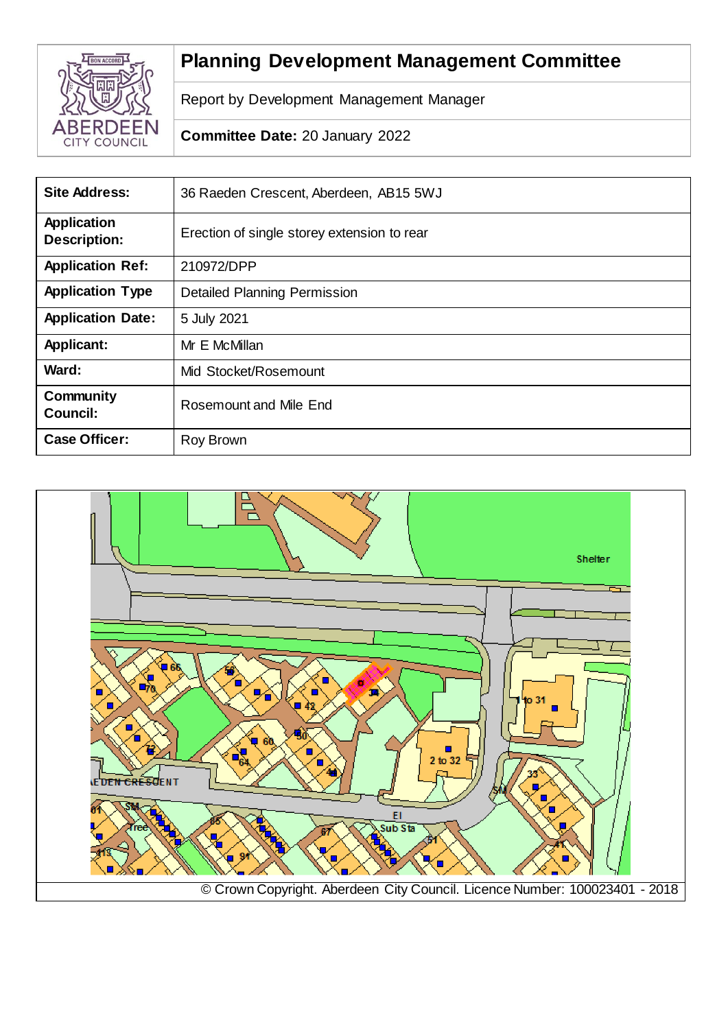

# **Planning Development Management Committee**

Report by Development Management Manager

**Committee Date:** 20 January 2022

| <b>Site Address:</b>                      | 36 Raeden Crescent, Aberdeen, AB15 5WJ      |
|-------------------------------------------|---------------------------------------------|
| <b>Application</b><br><b>Description:</b> | Erection of single storey extension to rear |
| <b>Application Ref:</b>                   | 210972/DPP                                  |
| <b>Application Type</b>                   | <b>Detailed Planning Permission</b>         |
| <b>Application Date:</b>                  | 5 July 2021                                 |
| <b>Applicant:</b>                         | Mr E McMillan                               |
| Ward:                                     | Mid Stocket/Rosemount                       |
| <b>Community</b><br><b>Council:</b>       | Rosemount and Mile End                      |
| <b>Case Officer:</b>                      | Roy Brown                                   |

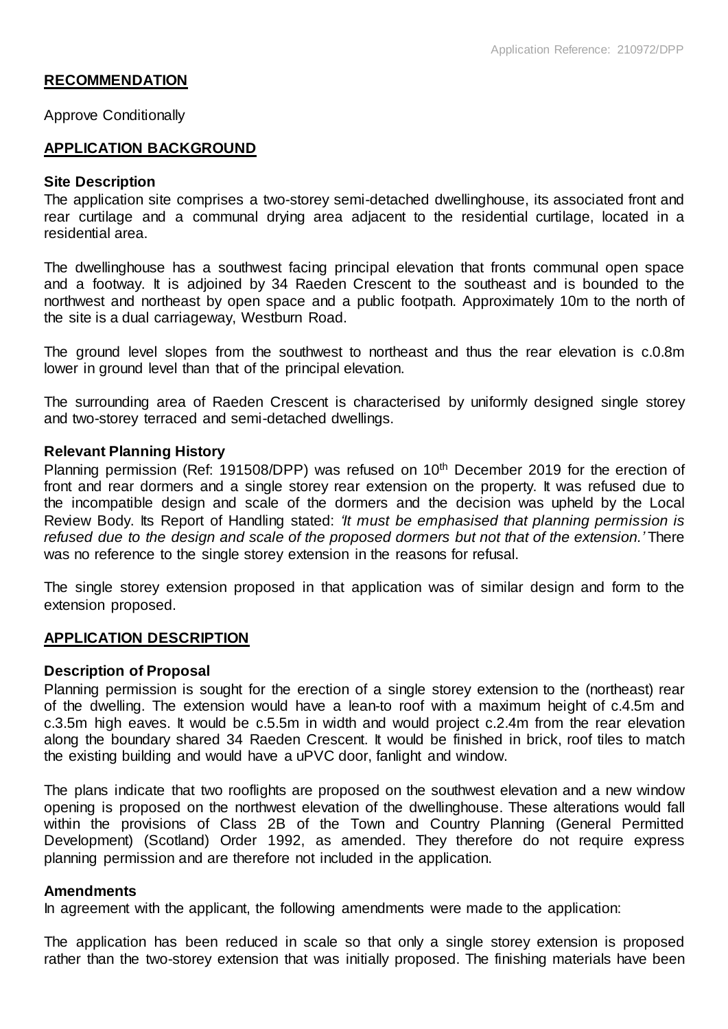# **RECOMMENDATION**

Approve Conditionally

#### **APPLICATION BACKGROUND**

#### **Site Description**

The application site comprises a two-storey semi-detached dwellinghouse, its associated front and rear curtilage and a communal drying area adjacent to the residential curtilage, located in a residential area.

The dwellinghouse has a southwest facing principal elevation that fronts communal open space and a footway. It is adjoined by 34 Raeden Crescent to the southeast and is bounded to the northwest and northeast by open space and a public footpath. Approximately 10m to the north of the site is a dual carriageway, Westburn Road.

The ground level slopes from the southwest to northeast and thus the rear elevation is c.0.8m lower in ground level than that of the principal elevation.

The surrounding area of Raeden Crescent is characterised by uniformly designed single storey and two-storey terraced and semi-detached dwellings.

#### **Relevant Planning History**

Planning permission (Ref: 191508/DPP) was refused on 10<sup>th</sup> December 2019 for the erection of front and rear dormers and a single storey rear extension on the property. It was refused due to the incompatible design and scale of the dormers and the decision was upheld by the Local Review Body. Its Report of Handling stated: *'It must be emphasised that planning permission is refused due to the design and scale of the proposed dormers but not that of the extension.'* There was no reference to the single storey extension in the reasons for refusal.

The single storey extension proposed in that application was of similar design and form to the extension proposed.

# **APPLICATION DESCRIPTION**

#### **Description of Proposal**

Planning permission is sought for the erection of a single storey extension to the (northeast) rear of the dwelling. The extension would have a lean-to roof with a maximum height of c.4.5m and c.3.5m high eaves. It would be c.5.5m in width and would project c.2.4m from the rear elevation along the boundary shared 34 Raeden Crescent. It would be finished in brick, roof tiles to match the existing building and would have a uPVC door, fanlight and window.

The plans indicate that two rooflights are proposed on the southwest elevation and a new window opening is proposed on the northwest elevation of the dwellinghouse. These alterations would fall within the provisions of Class 2B of the Town and Country Planning (General Permitted Development) (Scotland) Order 1992, as amended. They therefore do not require express planning permission and are therefore not included in the application.

#### **Amendments**

In agreement with the applicant, the following amendments were made to the application:

The application has been reduced in scale so that only a single storey extension is proposed rather than the two-storey extension that was initially proposed. The finishing materials have been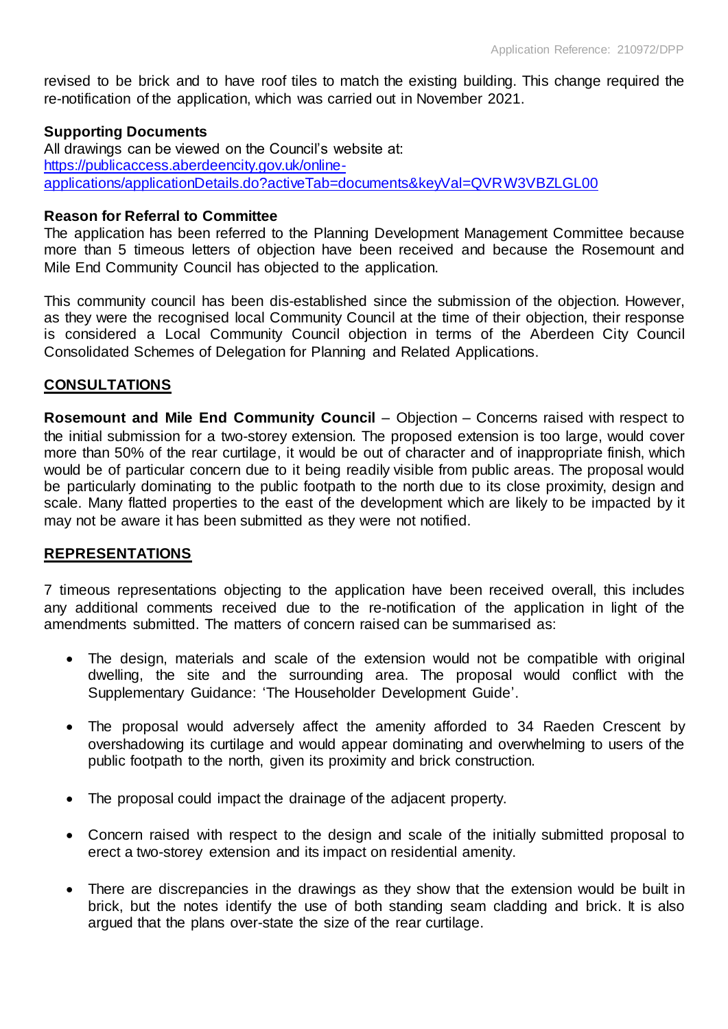revised to be brick and to have roof tiles to match the existing building. This change required the re-notification of the application, which was carried out in November 2021.

# **Supporting Documents**

All drawings can be viewed on the Council's website at: [https://publicaccess.aberdeencity.gov.uk/online](https://publicaccess.aberdeencity.gov.uk/online-applications/applicationDetails.do?activeTab=documents&keyVal=QVRW3VBZLGL00)[applications/applicationDetails.do?activeTab=documents&keyVal=QVRW3VBZLGL00](https://publicaccess.aberdeencity.gov.uk/online-applications/applicationDetails.do?activeTab=documents&keyVal=QVRW3VBZLGL00)

# **Reason for Referral to Committee**

The application has been referred to the Planning Development Management Committee because more than 5 timeous letters of objection have been received and because the Rosemount and Mile End Community Council has objected to the application.

This community council has been dis-established since the submission of the objection. However, as they were the recognised local Community Council at the time of their objection, their response is considered a Local Community Council objection in terms of the Aberdeen City Council Consolidated Schemes of Delegation for Planning and Related Applications.

# **CONSULTATIONS**

**Rosemount and Mile End Community Council** – Objection – Concerns raised with respect to the initial submission for a two-storey extension. The proposed extension is too large, would cover more than 50% of the rear curtilage, it would be out of character and of inappropriate finish, which would be of particular concern due to it being readily visible from public areas. The proposal would be particularly dominating to the public footpath to the north due to its close proximity, design and scale. Many flatted properties to the east of the development which are likely to be impacted by it may not be aware it has been submitted as they were not notified.

# **REPRESENTATIONS**

7 timeous representations objecting to the application have been received overall, this includes any additional comments received due to the re-notification of the application in light of the amendments submitted. The matters of concern raised can be summarised as:

- The design, materials and scale of the extension would not be compatible with original dwelling, the site and the surrounding area. The proposal would conflict with the Supplementary Guidance: 'The Householder Development Guide'.
- The proposal would adversely affect the amenity afforded to 34 Raeden Crescent by overshadowing its curtilage and would appear dominating and overwhelming to users of the public footpath to the north, given its proximity and brick construction.
- The proposal could impact the drainage of the adjacent property.
- Concern raised with respect to the design and scale of the initially submitted proposal to erect a two-storey extension and its impact on residential amenity.
- There are discrepancies in the drawings as they show that the extension would be built in brick, but the notes identify the use of both standing seam cladding and brick. It is also argued that the plans over-state the size of the rear curtilage.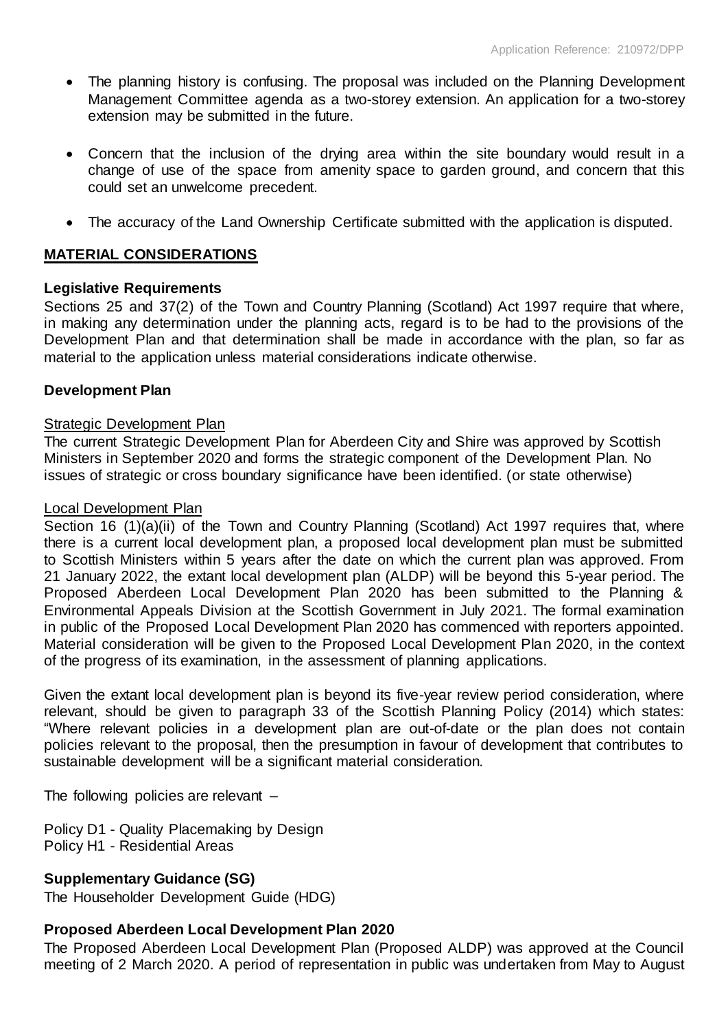- The planning history is confusing. The proposal was included on the Planning Development Management Committee agenda as a two-storey extension. An application for a two-storey extension may be submitted in the future.
- Concern that the inclusion of the drying area within the site boundary would result in a change of use of the space from amenity space to garden ground, and concern that this could set an unwelcome precedent.
- The accuracy of the Land Ownership Certificate submitted with the application is disputed.

# **MATERIAL CONSIDERATIONS**

# **Legislative Requirements**

Sections 25 and 37(2) of the Town and Country Planning (Scotland) Act 1997 require that where, in making any determination under the planning acts, regard is to be had to the provisions of the Development Plan and that determination shall be made in accordance with the plan, so far as material to the application unless material considerations indicate otherwise.

# **Development Plan**

#### Strategic Development Plan

The current Strategic Development Plan for Aberdeen City and Shire was approved by Scottish Ministers in September 2020 and forms the strategic component of the Development Plan. No issues of strategic or cross boundary significance have been identified. (or state otherwise)

#### Local Development Plan

Section 16 (1)(a)(ii) of the Town and Country Planning (Scotland) Act 1997 requires that, where there is a current local development plan, a proposed local development plan must be submitted to Scottish Ministers within 5 years after the date on which the current plan was approved. From 21 January 2022, the extant local development plan (ALDP) will be beyond this 5-year period. The Proposed Aberdeen Local Development Plan 2020 has been submitted to the Planning & Environmental Appeals Division at the Scottish Government in July 2021. The formal examination in public of the Proposed Local Development Plan 2020 has commenced with reporters appointed. Material consideration will be given to the Proposed Local Development Plan 2020, in the context of the progress of its examination, in the assessment of planning applications.

Given the extant local development plan is beyond its five-year review period consideration, where relevant, should be given to paragraph 33 of the Scottish Planning Policy (2014) which states: "Where relevant policies in a development plan are out-of-date or the plan does not contain policies relevant to the proposal, then the presumption in favour of development that contributes to sustainable development will be a significant material consideration.

The following policies are relevant –

Policy D1 - Quality Placemaking by Design Policy H1 - Residential Areas

# **Supplementary Guidance (SG)**

The Householder Development Guide (HDG)

# **Proposed Aberdeen Local Development Plan 2020**

The Proposed Aberdeen Local Development Plan (Proposed ALDP) was approved at the Council meeting of 2 March 2020. A period of representation in public was undertaken from May to August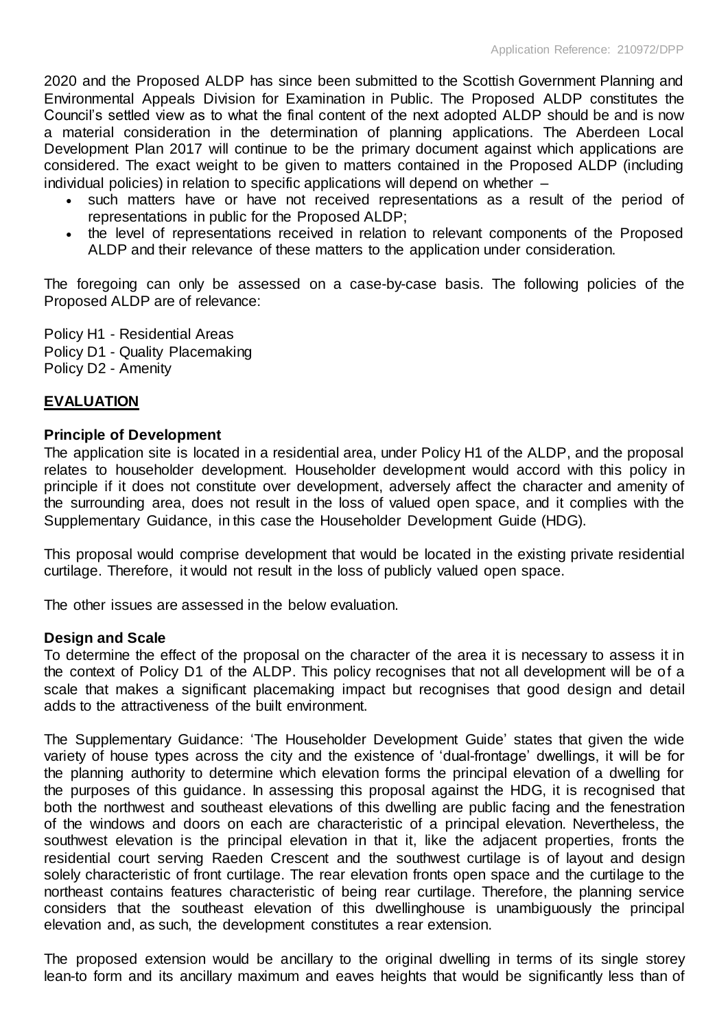2020 and the Proposed ALDP has since been submitted to the Scottish Government Planning and Environmental Appeals Division for Examination in Public. The Proposed ALDP constitutes the Council's settled view as to what the final content of the next adopted ALDP should be and is now a material consideration in the determination of planning applications. The Aberdeen Local Development Plan 2017 will continue to be the primary document against which applications are considered. The exact weight to be given to matters contained in the Proposed ALDP (including individual policies) in relation to specific applications will depend on whether –

- such matters have or have not received representations as a result of the period of representations in public for the Proposed ALDP;
- the level of representations received in relation to relevant components of the Proposed ALDP and their relevance of these matters to the application under consideration.

The foregoing can only be assessed on a case-by-case basis. The following policies of the Proposed ALDP are of relevance:

Policy H1 - Residential Areas Policy D1 - Quality Placemaking Policy D2 - Amenity

# **EVALUATION**

# **Principle of Development**

The application site is located in a residential area, under Policy H1 of the ALDP, and the proposal relates to householder development. Householder development would accord with this policy in principle if it does not constitute over development, adversely affect the character and amenity of the surrounding area, does not result in the loss of valued open space, and it complies with the Supplementary Guidance, in this case the Householder Development Guide (HDG).

This proposal would comprise development that would be located in the existing private residential curtilage. Therefore, it would not result in the loss of publicly valued open space.

The other issues are assessed in the below evaluation.

# **Design and Scale**

To determine the effect of the proposal on the character of the area it is necessary to assess it in the context of Policy D1 of the ALDP. This policy recognises that not all development will be of a scale that makes a significant placemaking impact but recognises that good design and detail adds to the attractiveness of the built environment.

The Supplementary Guidance: 'The Householder Development Guide' states that given the wide variety of house types across the city and the existence of 'dual-frontage' dwellings, it will be for the planning authority to determine which elevation forms the principal elevation of a dwelling for the purposes of this guidance. In assessing this proposal against the HDG, it is recognised that both the northwest and southeast elevations of this dwelling are public facing and the fenestration of the windows and doors on each are characteristic of a principal elevation. Nevertheless, the southwest elevation is the principal elevation in that it, like the adjacent properties, fronts the residential court serving Raeden Crescent and the southwest curtilage is of layout and design solely characteristic of front curtilage. The rear elevation fronts open space and the curtilage to the northeast contains features characteristic of being rear curtilage. Therefore, the planning service considers that the southeast elevation of this dwellinghouse is unambiguously the principal elevation and, as such, the development constitutes a rear extension.

The proposed extension would be ancillary to the original dwelling in terms of its single storey lean-to form and its ancillary maximum and eaves heights that would be significantly less than of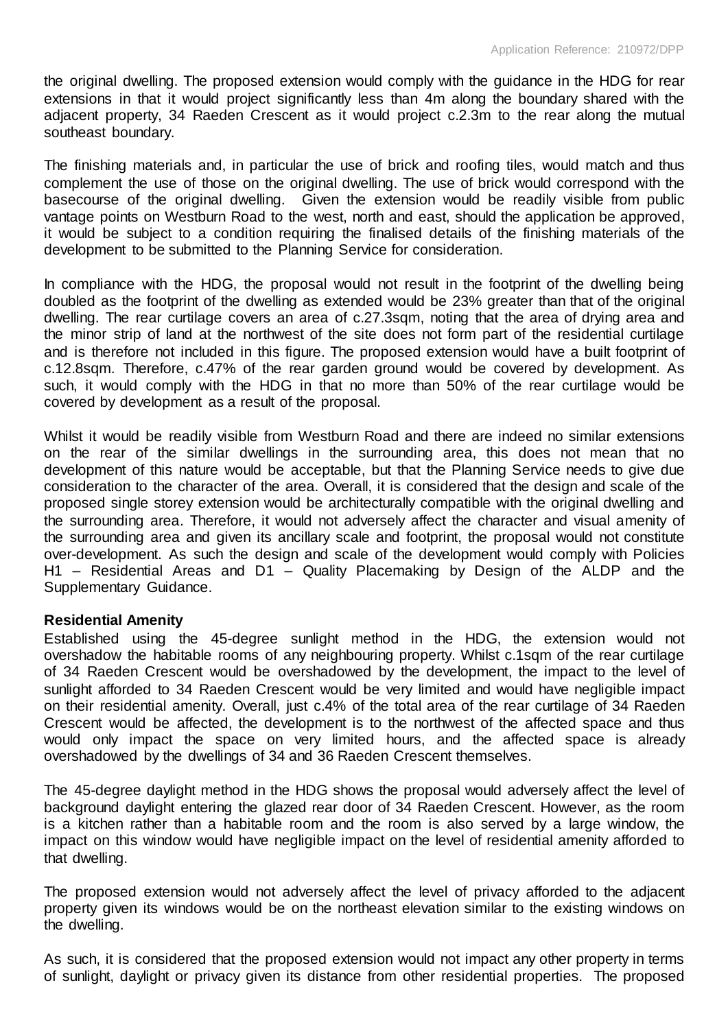the original dwelling. The proposed extension would comply with the guidance in the HDG for rear extensions in that it would project significantly less than 4m along the boundary shared with the adjacent property, 34 Raeden Crescent as it would project c.2.3m to the rear along the mutual southeast boundary.

The finishing materials and, in particular the use of brick and roofing tiles, would match and thus complement the use of those on the original dwelling. The use of brick would correspond with the basecourse of the original dwelling. Given the extension would be readily visible from public vantage points on Westburn Road to the west, north and east, should the application be approved, it would be subject to a condition requiring the finalised details of the finishing materials of the development to be submitted to the Planning Service for consideration.

In compliance with the HDG, the proposal would not result in the footprint of the dwelling being doubled as the footprint of the dwelling as extended would be 23% greater than that of the original dwelling. The rear curtilage covers an area of c.27.3sqm, noting that the area of drying area and the minor strip of land at the northwest of the site does not form part of the residential curtilage and is therefore not included in this figure. The proposed extension would have a built footprint of c.12.8sqm. Therefore, c.47% of the rear garden ground would be covered by development. As such, it would comply with the HDG in that no more than 50% of the rear curtilage would be covered by development as a result of the proposal.

Whilst it would be readily visible from Westburn Road and there are indeed no similar extensions on the rear of the similar dwellings in the surrounding area, this does not mean that no development of this nature would be acceptable, but that the Planning Service needs to give due consideration to the character of the area. Overall, it is considered that the design and scale of the proposed single storey extension would be architecturally compatible with the original dwelling and the surrounding area. Therefore, it would not adversely affect the character and visual amenity of the surrounding area and given its ancillary scale and footprint, the proposal would not constitute over-development. As such the design and scale of the development would comply with Policies H1 – Residential Areas and D1 – Quality Placemaking by Design of the ALDP and the Supplementary Guidance.

# **Residential Amenity**

Established using the 45-degree sunlight method in the HDG, the extension would not overshadow the habitable rooms of any neighbouring property. Whilst c.1sqm of the rear curtilage of 34 Raeden Crescent would be overshadowed by the development, the impact to the level of sunlight afforded to 34 Raeden Crescent would be very limited and would have negligible impact on their residential amenity. Overall, just c.4% of the total area of the rear curtilage of 34 Raeden Crescent would be affected, the development is to the northwest of the affected space and thus would only impact the space on very limited hours, and the affected space is already overshadowed by the dwellings of 34 and 36 Raeden Crescent themselves.

The 45-degree daylight method in the HDG shows the proposal would adversely affect the level of background daylight entering the glazed rear door of 34 Raeden Crescent. However, as the room is a kitchen rather than a habitable room and the room is also served by a large window, the impact on this window would have negligible impact on the level of residential amenity afforded to that dwelling.

The proposed extension would not adversely affect the level of privacy afforded to the adjacent property given its windows would be on the northeast elevation similar to the existing windows on the dwelling.

As such, it is considered that the proposed extension would not impact any other property in terms of sunlight, daylight or privacy given its distance from other residential properties. The proposed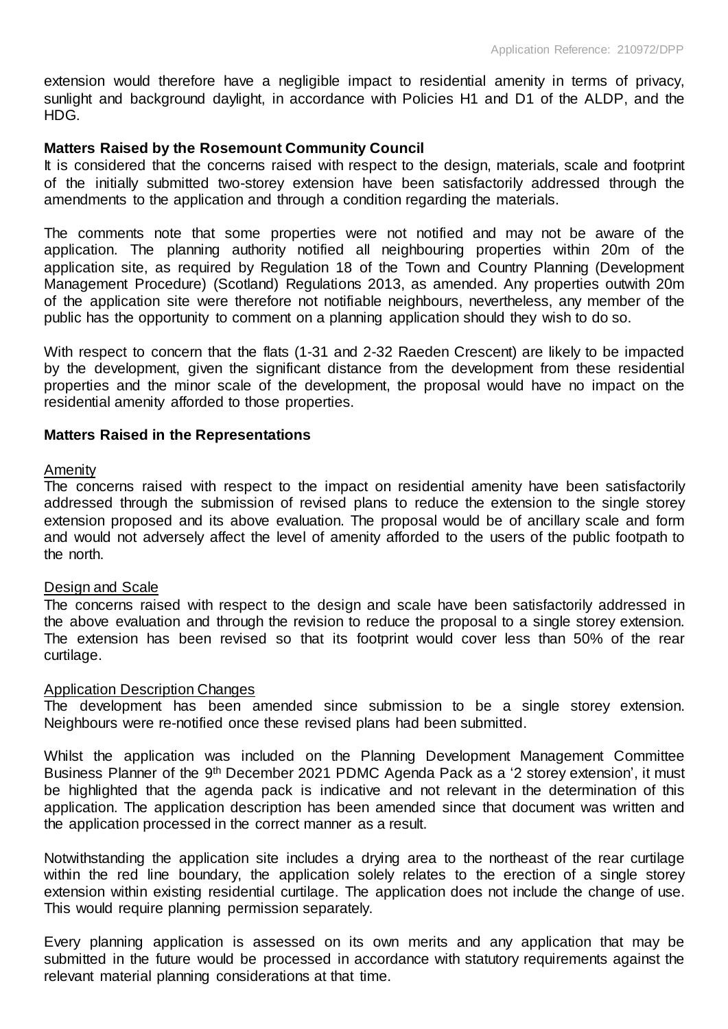extension would therefore have a negligible impact to residential amenity in terms of privacy, sunlight and background daylight, in accordance with Policies H1 and D1 of the ALDP, and the HDG.

# **Matters Raised by the Rosemount Community Council**

It is considered that the concerns raised with respect to the design, materials, scale and footprint of the initially submitted two-storey extension have been satisfactorily addressed through the amendments to the application and through a condition regarding the materials.

The comments note that some properties were not notified and may not be aware of the application. The planning authority notified all neighbouring properties within 20m of the application site, as required by Regulation 18 of the Town and Country Planning (Development Management Procedure) (Scotland) Regulations 2013, as amended. Any properties outwith 20m of the application site were therefore not notifiable neighbours, nevertheless, any member of the public has the opportunity to comment on a planning application should they wish to do so.

With respect to concern that the flats (1-31 and 2-32 Raeden Crescent) are likely to be impacted by the development, given the significant distance from the development from these residential properties and the minor scale of the development, the proposal would have no impact on the residential amenity afforded to those properties.

# **Matters Raised in the Representations**

# Amenity

The concerns raised with respect to the impact on residential amenity have been satisfactorily addressed through the submission of revised plans to reduce the extension to the single storey extension proposed and its above evaluation. The proposal would be of ancillary scale and form and would not adversely affect the level of amenity afforded to the users of the public footpath to the north.

# Design and Scale

The concerns raised with respect to the design and scale have been satisfactorily addressed in the above evaluation and through the revision to reduce the proposal to a single storey extension. The extension has been revised so that its footprint would cover less than 50% of the rear curtilage.

# Application Description Changes

The development has been amended since submission to be a single storey extension. Neighbours were re-notified once these revised plans had been submitted.

Whilst the application was included on the Planning Development Management Committee Business Planner of the 9<sup>th</sup> December 2021 PDMC Agenda Pack as a '2 storey extension', it must be highlighted that the agenda pack is indicative and not relevant in the determination of this application. The application description has been amended since that document was written and the application processed in the correct manner as a result.

Notwithstanding the application site includes a drying area to the northeast of the rear curtilage within the red line boundary, the application solely relates to the erection of a single storey extension within existing residential curtilage. The application does not include the change of use. This would require planning permission separately.

Every planning application is assessed on its own merits and any application that may be submitted in the future would be processed in accordance with statutory requirements against the relevant material planning considerations at that time.